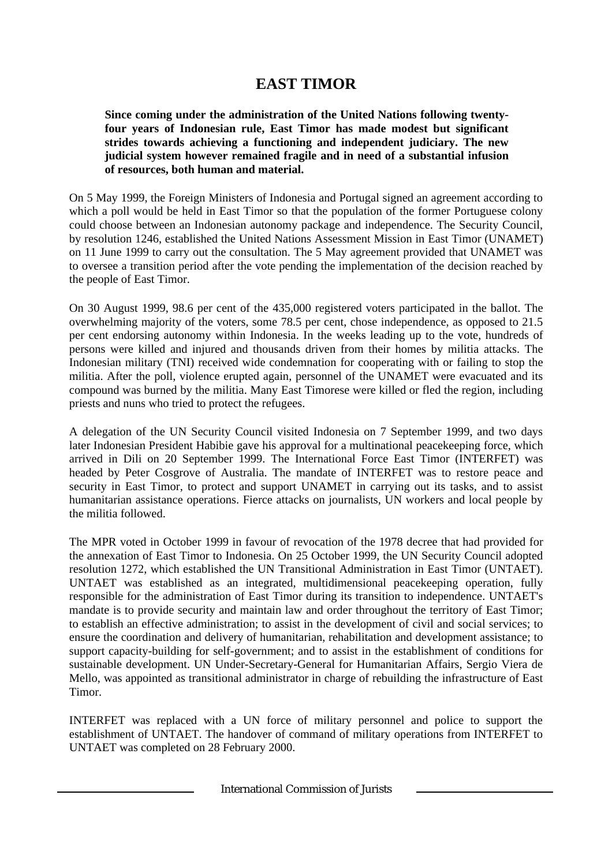# **EAST TIMOR**

**Since coming under the administration of the United Nations following twentyfour years of Indonesian rule, East Timor has made modest but significant strides towards achieving a functioning and independent judiciary. The new judicial system however remained fragile and in need of a substantial infusion of resources, both human and material.**

On 5 May 1999, the Foreign Ministers of Indonesia and Portugal signed an agreement according to which a poll would be held in East Timor so that the population of the former Portuguese colony could choose between an Indonesian autonomy package and independence. The Security Council, by resolution 1246, established the United Nations Assessment Mission in East Timor (UNAMET) on 11 June 1999 to carry out the consultation. The 5 May agreement provided that UNAMET was to oversee a transition period after the vote pending the implementation of the decision reached by the people of East Timor.

On 30 August 1999, 98.6 per cent of the 435,000 registered voters participated in the ballot. The overwhelming majority of the voters, some 78.5 per cent, chose independence, as opposed to 21.5 per cent endorsing autonomy within Indonesia. In the weeks leading up to the vote, hundreds of persons were killed and injured and thousands driven from their homes by militia attacks. The Indonesian military (TNI) received wide condemnation for cooperating with or failing to stop the militia. After the poll, violence erupted again, personnel of the UNAMET were evacuated and its compound was burned by the militia. Many East Timorese were killed or fled the region, including priests and nuns who tried to protect the refugees.

A delegation of the UN Security Council visited Indonesia on 7 September 1999, and two days later Indonesian President Habibie gave his approval for a multinational peacekeeping force, which arrived in Dili on 20 September 1999. The International Force East Timor (INTERFET) was headed by Peter Cosgrove of Australia. The mandate of INTERFET was to restore peace and security in East Timor, to protect and support UNAMET in carrying out its tasks, and to assist humanitarian assistance operations. Fierce attacks on journalists, UN workers and local people by the militia followed.

The MPR voted in October 1999 in favour of revocation of the 1978 decree that had provided for the annexation of East Timor to Indonesia. On 25 October 1999, the UN Security Council adopted resolution 1272, which established the UN Transitional Administration in East Timor (UNTAET). UNTAET was established as an integrated, multidimensional peacekeeping operation, fully responsible for the administration of East Timor during its transition to independence. UNTAET's mandate is to provide security and maintain law and order throughout the territory of East Timor; to establish an effective administration; to assist in the development of civil and social services; to ensure the coordination and delivery of humanitarian, rehabilitation and development assistance; to support capacity-building for self-government; and to assist in the establishment of conditions for sustainable development. UN Under-Secretary-General for Humanitarian Affairs, Sergio Viera de Mello, was appointed as transitional administrator in charge of rebuilding the infrastructure of East Timor.

INTERFET was replaced with a UN force of military personnel and police to support the establishment of UNTAET. The handover of command of military operations from INTERFET to UNTAET was completed on 28 February 2000.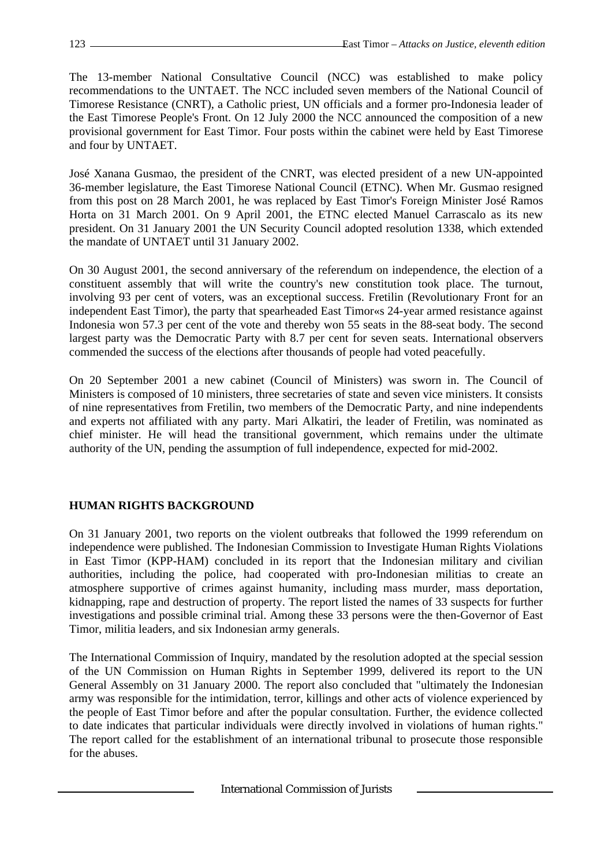The 13-member National Consultative Council (NCC) was established to make policy recommendations to the UNTAET. The NCC included seven members of the National Council of Timorese Resistance (CNRT), a Catholic priest, UN officials and a former pro-Indonesia leader of the East Timorese People's Front. On 12 July 2000 the NCC announced the composition of a new provisional government for East Timor. Four posts within the cabinet were held by East Timorese and four by UNTAET.

José Xanana Gusmao, the president of the CNRT, was elected president of a new UN-appointed 36-member legislature, the East Timorese National Council (ETNC). When Mr. Gusmao resigned from this post on 28 March 2001, he was replaced by East Timor's Foreign Minister José Ramos Horta on 31 March 2001. On 9 April 2001, the ETNC elected Manuel Carrascalo as its new president. On 31 January 2001 the UN Security Council adopted resolution 1338, which extended the mandate of UNTAET until 31 January 2002.

On 30 August 2001, the second anniversary of the referendum on independence, the election of a constituent assembly that will write the country's new constitution took place. The turnout, involving 93 per cent of voters, was an exceptional success. Fretilin (Revolutionary Front for an independent East Timor), the party that spearheaded East Timor«s 24-year armed resistance against Indonesia won 57.3 per cent of the vote and thereby won 55 seats in the 88-seat body. The second largest party was the Democratic Party with 8.7 per cent for seven seats. International observers commended the success of the elections after thousands of people had voted peacefully.

On 20 September 2001 a new cabinet (Council of Ministers) was sworn in. The Council of Ministers is composed of 10 ministers, three secretaries of state and seven vice ministers. It consists of nine representatives from Fretilin, two members of the Democratic Party, and nine independents and experts not affiliated with any party. Mari Alkatiri, the leader of Fretilin, was nominated as chief minister. He will head the transitional government, which remains under the ultimate authority of the UN, pending the assumption of full independence, expected for mid-2002.

## **HUMAN RIGHTS BACKGROUND**

On 31 January 2001, two reports on the violent outbreaks that followed the 1999 referendum on independence were published. The Indonesian Commission to Investigate Human Rights Violations in East Timor (KPP-HAM) concluded in its report that the Indonesian military and civilian authorities, including the police, had cooperated with pro-Indonesian militias to create an atmosphere supportive of crimes against humanity, including mass murder, mass deportation, kidnapping, rape and destruction of property. The report listed the names of 33 suspects for further investigations and possible criminal trial. Among these 33 persons were the then-Governor of East Timor, militia leaders, and six Indonesian army generals.

The International Commission of Inquiry, mandated by the resolution adopted at the special session of the UN Commission on Human Rights in September 1999, delivered its report to the UN General Assembly on 31 January 2000. The report also concluded that "ultimately the Indonesian army was responsible for the intimidation, terror, killings and other acts of violence experienced by the people of East Timor before and after the popular consultation. Further, the evidence collected to date indicates that particular individuals were directly involved in violations of human rights." The report called for the establishment of an international tribunal to prosecute those responsible for the abuses.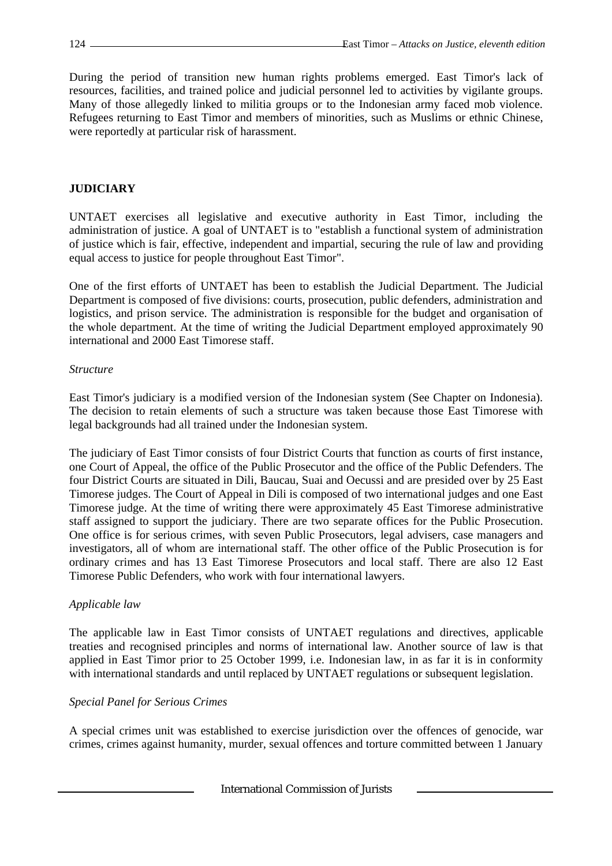During the period of transition new human rights problems emerged. East Timor's lack of resources, facilities, and trained police and judicial personnel led to activities by vigilante groups. Many of those allegedly linked to militia groups or to the Indonesian army faced mob violence. Refugees returning to East Timor and members of minorities, such as Muslims or ethnic Chinese, were reportedly at particular risk of harassment.

## **JUDICIARY**

UNTAET exercises all legislative and executive authority in East Timor, including the administration of justice. A goal of UNTAET is to "establish a functional system of administration of justice which is fair, effective, independent and impartial, securing the rule of law and providing equal access to justice for people throughout East Timor".

One of the first efforts of UNTAET has been to establish the Judicial Department. The Judicial Department is composed of five divisions: courts, prosecution, public defenders, administration and logistics, and prison service. The administration is responsible for the budget and organisation of the whole department. At the time of writing the Judicial Department employed approximately 90 international and 2000 East Timorese staff.

#### *Structure*

East Timor's judiciary is a modified version of the Indonesian system (See Chapter on Indonesia). The decision to retain elements of such a structure was taken because those East Timorese with legal backgrounds had all trained under the Indonesian system.

The judiciary of East Timor consists of four District Courts that function as courts of first instance, one Court of Appeal, the office of the Public Prosecutor and the office of the Public Defenders. The four District Courts are situated in Dili, Baucau, Suai and Oecussi and are presided over by 25 East Timorese judges. The Court of Appeal in Dili is composed of two international judges and one East Timorese judge. At the time of writing there were approximately 45 East Timorese administrative staff assigned to support the judiciary. There are two separate offices for the Public Prosecution. One office is for serious crimes, with seven Public Prosecutors, legal advisers, case managers and investigators, all of whom are international staff. The other office of the Public Prosecution is for ordinary crimes and has 13 East Timorese Prosecutors and local staff. There are also 12 East Timorese Public Defenders, who work with four international lawyers.

## *Applicable law*

The applicable law in East Timor consists of UNTAET regulations and directives, applicable treaties and recognised principles and norms of international law. Another source of law is that applied in East Timor prior to 25 October 1999, i.e. Indonesian law, in as far it is in conformity with international standards and until replaced by UNTAET regulations or subsequent legislation.

## *Special Panel for Serious Crimes*

A special crimes unit was established to exercise jurisdiction over the offences of genocide, war crimes, crimes against humanity, murder, sexual offences and torture committed between 1 January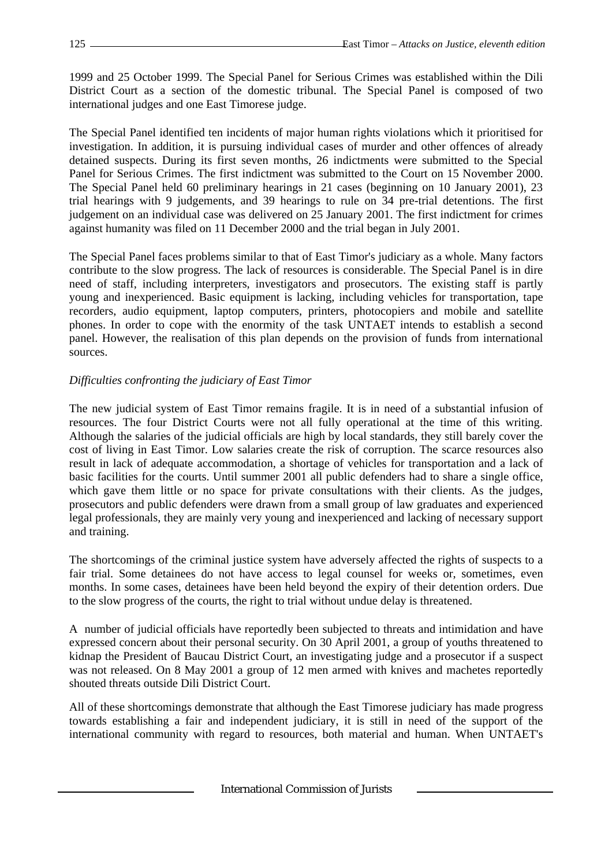1999 and 25 October 1999. The Special Panel for Serious Crimes was established within the Dili District Court as a section of the domestic tribunal. The Special Panel is composed of two international judges and one East Timorese judge.

The Special Panel identified ten incidents of major human rights violations which it prioritised for investigation. In addition, it is pursuing individual cases of murder and other offences of already detained suspects. During its first seven months, 26 indictments were submitted to the Special Panel for Serious Crimes. The first indictment was submitted to the Court on 15 November 2000. The Special Panel held 60 preliminary hearings in 21 cases (beginning on 10 January 2001), 23 trial hearings with 9 judgements, and 39 hearings to rule on 34 pre-trial detentions. The first judgement on an individual case was delivered on 25 January 2001. The first indictment for crimes against humanity was filed on 11 December 2000 and the trial began in July 2001.

The Special Panel faces problems similar to that of East Timor's judiciary as a whole. Many factors contribute to the slow progress. The lack of resources is considerable. The Special Panel is in dire need of staff, including interpreters, investigators and prosecutors. The existing staff is partly young and inexperienced. Basic equipment is lacking, including vehicles for transportation, tape recorders, audio equipment, laptop computers, printers, photocopiers and mobile and satellite phones. In order to cope with the enormity of the task UNTAET intends to establish a second panel. However, the realisation of this plan depends on the provision of funds from international sources.

## *Difficulties confronting the judiciary of East Timor*

The new judicial system of East Timor remains fragile. It is in need of a substantial infusion of resources. The four District Courts were not all fully operational at the time of this writing. Although the salaries of the judicial officials are high by local standards, they still barely cover the cost of living in East Timor. Low salaries create the risk of corruption. The scarce resources also result in lack of adequate accommodation, a shortage of vehicles for transportation and a lack of basic facilities for the courts. Until summer 2001 all public defenders had to share a single office, which gave them little or no space for private consultations with their clients. As the judges, prosecutors and public defenders were drawn from a small group of law graduates and experienced legal professionals, they are mainly very young and inexperienced and lacking of necessary support and training.

The shortcomings of the criminal justice system have adversely affected the rights of suspects to a fair trial. Some detainees do not have access to legal counsel for weeks or, sometimes, even months. In some cases, detainees have been held beyond the expiry of their detention orders. Due to the slow progress of the courts, the right to trial without undue delay is threatened.

A number of judicial officials have reportedly been subjected to threats and intimidation and have expressed concern about their personal security. On 30 April 2001, a group of youths threatened to kidnap the President of Baucau District Court, an investigating judge and a prosecutor if a suspect was not released. On 8 May 2001 a group of 12 men armed with knives and machetes reportedly shouted threats outside Dili District Court.

All of these shortcomings demonstrate that although the East Timorese judiciary has made progress towards establishing a fair and independent judiciary, it is still in need of the support of the international community with regard to resources, both material and human. When UNTAET's